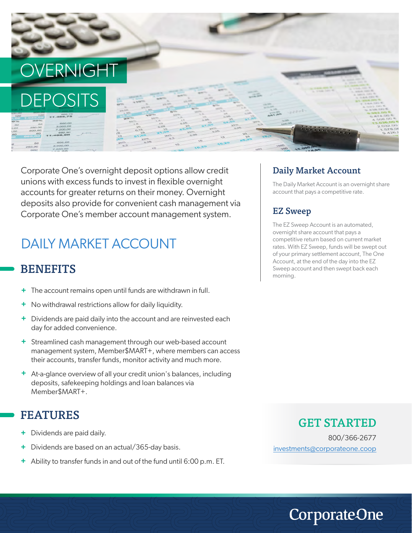# **OVERNIGH**



Corporate One's overnight deposit options allow credit unions with excess funds to invest in flexible overnight accounts for greater returns on their money. Overnight deposits also provide for convenient cash management via Corporate One's member account management system.

# DAILY MARKET ACCOUNT

# **BENEFITS**

- **+** The account remains open until funds are withdrawn in full.
- **+** No withdrawal restrictions allow for daily liquidity.
- **+** Dividends are paid daily into the account and are reinvested each day for added convenience.
- **+** Streamlined cash management through our web-based account management system, Member\$MART+, where members can access their accounts, transfer funds, monitor activity and much more.
- **+** At-a-glance overview of all your credit union's balances, including deposits, safekeeping holdings and loan balances via Member\$MART+.

# FEATURES

- Dividends are paid daily. **+**
- Dividends are based on an actual/365-day basis. **+**
- Ability to transfer funds in and out of the fund until 6:00 p.m. ET. **+**

#### Daily Market Account

The Daily Market Account is an overnight share account that pays a competitive rate.

#### EZ Sweep

The EZ Sweep Account is an automated, overnight share account that pays a competitive return based on current market rates. With EZ Sweep, funds will be swept out of your primary settlement account, The One Account, at the end of the day into the EZ Sweep account and then swept back each morning.

#### GET STARTED

800/366-2677 investments@corporateone.coop

**CorporateOne**